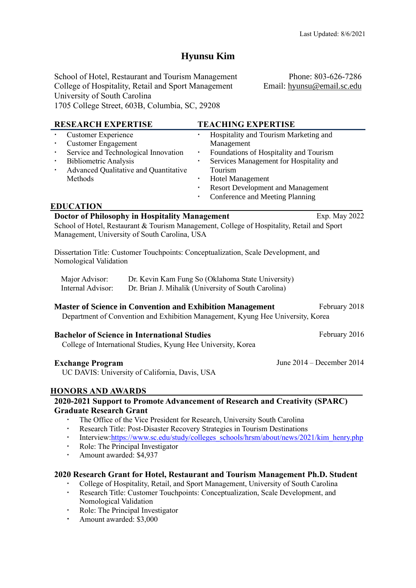# **Hyunsu Kim**

School of Hotel, Restaurant and Tourism Management College of Hospitality, Retail and Sport Management University of South Carolina 1705 College Street, 603B, Columbia, SC, 29208

Phone: 803-626-7286 Email: [hyunsu@email.sc.edu](mailto:hyunsu@email.sc.edu)

| <b>RESEARCH EXPERTISE</b><br><b>Customer Experience</b><br><b>Customer Engagement</b><br>٠<br>Service and Technological Innovation<br>٠<br><b>Bibliometric Analysis</b><br>٠<br>Advanced Qualitative and Quantitative<br>Methods<br><b>EDUCATION</b><br>Doctor of Philosophy in Hospitality Management | <b>TEACHING EXPERTISE</b><br>Hospitality and Tourism Marketing and<br>Management<br>Foundations of Hospitality and Tourism<br>٠<br>Services Management for Hospitality and<br>$\blacksquare$<br>Tourism<br><b>Hotel Management</b><br><b>Resort Development and Management</b><br>٠<br>Conference and Meeting Planning<br>Exp. May 2022 |  |
|--------------------------------------------------------------------------------------------------------------------------------------------------------------------------------------------------------------------------------------------------------------------------------------------------------|-----------------------------------------------------------------------------------------------------------------------------------------------------------------------------------------------------------------------------------------------------------------------------------------------------------------------------------------|--|
| Management, University of South Carolina, USA                                                                                                                                                                                                                                                          | School of Hotel, Restaurant & Tourism Management, College of Hospitality, Retail and Sport                                                                                                                                                                                                                                              |  |
| Dissertation Title: Customer Touchpoints: Conceptualization, Scale Development, and<br>Nomological Validation                                                                                                                                                                                          |                                                                                                                                                                                                                                                                                                                                         |  |
| Major Advisor:<br>Dr. Kevin Kam Fung So (Oklahoma State University)<br>Internal Advisor:<br>Dr. Brian J. Mihalik (University of South Carolina)                                                                                                                                                        |                                                                                                                                                                                                                                                                                                                                         |  |
| February 2018<br><b>Master of Science in Convention and Exhibition Management</b><br>Department of Convention and Exhibition Management, Kyung Hee University, Korea                                                                                                                                   |                                                                                                                                                                                                                                                                                                                                         |  |
| <b>Bachelor of Science in International Studies</b><br>College of International Studies, Kyung Hee University, Korea                                                                                                                                                                                   | February 2016                                                                                                                                                                                                                                                                                                                           |  |
| <b>Exchange Program</b><br>UC DAVIS: University of California, Davis, USA<br><b>HONORS AND AWARDS</b>                                                                                                                                                                                                  | June 2014 – December 2014                                                                                                                                                                                                                                                                                                               |  |
| <b>Graduate Research Grant</b><br>The Office of the Vice President for Research, University South Carolina<br>$\blacksquare$<br>٠<br>Role: The Principal Investigator<br>٠<br>Amount awarded: \$4,937<br>٠                                                                                             | 2020-2021 Support to Promote Advancement of Research and Creativity (SPARC)<br>Research Title: Post-Disaster Recovery Strategies in Tourism Destinations<br>Interview:https://www.sc.edu/study/colleges_schools/hrsm/about/news/2021/kim_henry.php                                                                                      |  |

- **2020 Research Grant for Hotel, Restaurant and Tourism Management Ph.D. Student**
	- College of Hospitality, Retail, and Sport Management, University of South Carolina
	- Research Title: Customer Touchpoints: Conceptualization, Scale Development, and Nomological Validation
	- Role: The Principal Investigator
	- Amount awarded: \$3,000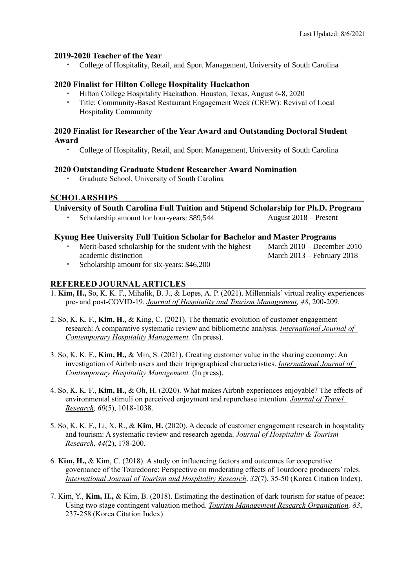#### **2019-2020 Teacher of the Year**

College of Hospitality, Retail, and Sport Management, University of South Carolina

#### **2020 Finalist for Hilton College Hospitality Hackathon**

- Hilton College Hospitality Hackathon. Houston, Texas, August 6-8, 2020
- Title: Community-Based Restaurant Engagement Week (CREW): Revival of Local Hospitality Community

### **2020 Finalist for Researcher of the Year Award and Outstanding Doctoral Student Award**

College of Hospitality, Retail, and Sport Management, University of South Carolina

#### **2020 Outstanding Graduate Student Researcher Award Nomination**

Graduate School, University of South Carolina

# **SCHOLARSHIPS**

**University of South Carolina Full Tuition and Stipend Scholarship for Ph.D. Program**

Scholarship amount for four-years: \$89,544 August 2018 – Present

#### **Kyung Hee University Full Tuition Scholar for Bachelor and Master Programs**

 Merit-based scholarship for the student with the highest academic distinction

March 2010 – December 2010 March 2013 – February 2018

Scholarship amount for six-years: \$46,200

# **REFEREED JOURNAL ARTICLES**

- 1. **Kim, H.,** So, K. K. F., Mihalik, B. J., & Lopes, A. P. (2021). Millennials' virtual reality experiences pre- and post-COVID-19. *Journal of Hospitality and Tourism Management, 48*, 200-209.
- 2. So, K. K. F., **Kim, H.,** & King, C. (2021). The thematic evolution of customer engagement research: A comparative systematic review and bibliometric analysis. *International Journal of Contemporary Hospitality Management.* (In press).
- 3. So, K. K. F., **Kim, H.,** & Min, S. (2021). Creating customer value in the sharing economy: An investigation of Airbnb users and their tripographical characteristics. *International Journal of Contemporary Hospitality Management.* (In press).
- 4. So, K. K. F., **Kim, H.,** & Oh, H. (2020). What makes Airbnb experiences enjoyable? The effects of environmental stimuli on perceived enjoyment and repurchase intention. *Journal of Travel Research, 60*(5), 1018-1038.
- 5. So, K. K. F., Li, X. R., & **Kim, H.** (2020). A decade of customer [engagement](https://www.researchgate.net/publication/337469597_A_decade_of_customer_engagement_research_in_hospitality_and_tourism_A_systematic_review_and_research_agenda?_sg=dPhiEjHiFt_ze85iDaHLcK_ZP3w5ODscyNlBI28SYX980RU1_rA6T665YtjYYlIXUNk6IqQgugYSyA.NG218cvcHn7lwXE8UTCFCNCfLqofVDNV355TRTN169dPXmFUj6zwqaZB_x2dNP_3kAz_tDJjtnRIlk2rVUB98w) research in hospitality and tourism: A [systematic](https://www.researchgate.net/publication/337469597_A_decade_of_customer_engagement_research_in_hospitality_and_tourism_A_systematic_review_and_research_agenda?_sg=dPhiEjHiFt_ze85iDaHLcK_ZP3w5ODscyNlBI28SYX980RU1_rA6T665YtjYYlIXUNk6IqQgugYSyA.NG218cvcHn7lwXE8UTCFCNCfLqofVDNV355TRTN169dPXmFUj6zwqaZB_x2dNP_3kAz_tDJjtnRIlk2rVUB98w) review and research agenda. *Journal of Hospitality & Tourism Research, 44*(2), 178-200.
- 6. **Kim, H.,** & Kim, C. (2018). A study on influencing factors and outcomes for cooperative governance of the Touredoore: Perspective on moderating effects of Tourdoore producers' roles. *International Journal of Tourism and Hospitality Research*. *32*(7), 35-50 (Korea Citation Index).
- 7. Kim, Y., **Kim, H.,** & Kim, B. (2018). Estimating the destination of dark tourism for statue of peace: Using two stage contingent valuation method. *Tourism Management Research Organization. 83*, 237-258 (Korea Citation Index).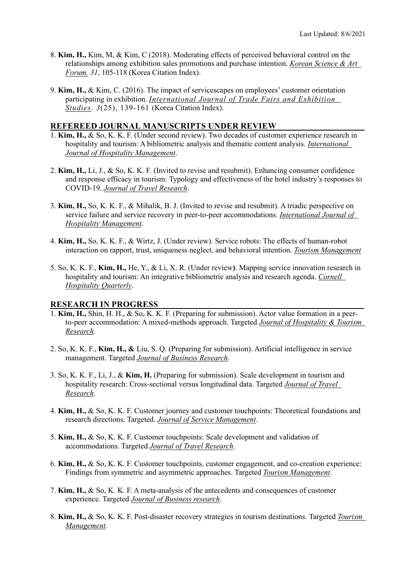- 8. **Kim, H.,** Kim, M, & Kim, C (2018). Moderating effects of perceived behavioral control on the relationships among exhibition sales promotions and purchase intention. *Korean Science & Art Forum. 31*, 105-118 (Korea Citation Index).
- 9. **Kim, H.,** & Kim, C. (2016). The impact of servicescapes on employees' customer orientation participating in exhibition. *International Journal of Trade Fairs and Exhibition Studies*. *3*(25), 139-161 (Korea Citation Index).

#### **REFEREED JOURNAL MANUSCRIPTS UNDER REVIEW**

- 1. **Kim, H.,** & So, K. K. F. (Under second review). Two decades of customer experience research in hospitality and tourism: A bibliometric analysis and thematic content analysis. *International Journal of Hospitality Management*.
- 2. **Kim, H.,** Li, J., & So, K. K. F. (Invited to revise and resubmit). Enhancing consumer confidence and response efficacy in tourism: Typology and effectiveness of the hotel industry's responses to COVID-19. *Journal of Travel Research*.
- 3. **Kim, H.,** So, K. K. F., & Mihalik, B. J. (Invited to revise and resubmit). A triadic perspective on service failure and service recovery in peer-to-peer accommodations. *International Journal of Hospitality Management*.
- 4. **Kim, H.,** So, K. K. F., & Wirtz, J. (Under review). Service robots: The effects of human-robot interaction on rapport, trust, uniqueness neglect, and behavioral intention. *Tourism Management*
- 5. So, K. K. F., **Kim, H.,** He, Y., & Li, X. R. (Under review**)**. Mapping service innovation research in hospitality and tourism: An integrative bibliometric analysis and research agenda. *Cornell Hospitality Quarterly*.

#### **RESEARCH IN PROGRESS**

- 1. **Kim, H.,** Shin, H. H., & So, K. K. F. (Preparing for submission). Actor value formation in a peerto-peer accommodation: A mixed-methods approach. Targeted *Journal of Hospitality & Tourism Research*.
- 2. So, K. K. F., **Kim, H., &** Liu, S. Q. (Preparing for submission). Artificial intelligence in service management. Targeted *Journal of Business Research*.
- 3. So, K. K. F., Li, J., & **Kim, H.** (Preparing for submission). Scale development in tourism and hospitality research: Cross-sectional versus longitudinal data. Targeted *Journal of Travel Research*.
- 4. **Kim, H.,** & So, K. K. F. Customer journey and customer touchpoints: Theoretical foundations and research directions. Targeted. *Journal of Service Management*.
- 5. **Kim, H.,** & So, K. K. F. Customer touchpoints: Scale development and validation of accommodations. Targeted *Journal of Travel Research*.
- 6. **Kim, H.,** & So, K. K. F. Customer touchpoints, customer engagement, and co-creation experience: Findings from symmetric and asymmetric approaches. Targeted *Tourism Management*.
- 7. **Kim, H.,** & So, K. K. F. A meta-analysis of the antecedents and consequences of customer experience. Targeted *Journal of Business research*.
- 8. **Kim, H.,** & So, K. K. F. Post-disaster recovery strategies in tourism destinations. Targeted *Tourism Management*.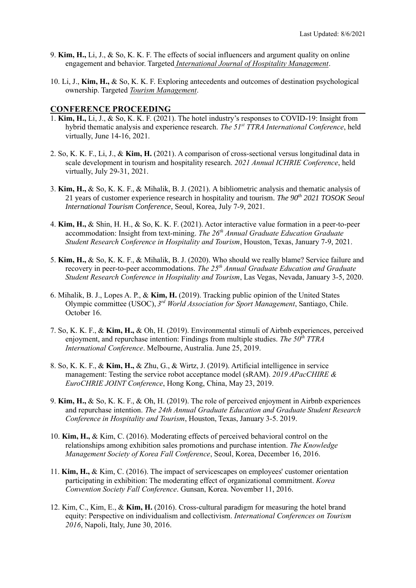- 9. **Kim, H.,** Li, J., & So, K. K. F. The effects of social influencers and argument quality on online engagement and behavior. Targeted *International Journal of Hospitality Management*.
- 10. Li, J., **Kim, H.,** & So, K. K. F. Exploring antecedents and outcomes of destination psychological ownership. Targeted *Tourism Management*.

#### **CONFERENCE PROCEEDING**

- 1. **Kim, H.,** Li, J., & So, K. K. F. (2021). The hotel industry's responses to COVID-19: Insight from hybrid thematic analysis and experience research. *The 51st TTRA International Conference*, held virtually, June 14-16, 2021.
- 2. So, K. K. F., Li, J., & **Kim, H.** (2021). A comparison of cross-sectional versus longitudinal data in scale development in tourism and hospitality research. *2021 Annual ICHRIE Conference*, held virtually, July 29-31, 2021.
- 3. **Kim, H.,** & So, K. K. F., & Mihalik, B. J. (2021). A bibliometric analysis and thematic analysis of 21 years of customer experience research in hospitality and tourism. *The 90th 2021 TOSOK Seoul International Tourism Conference*, Seoul, Korea, July 7-9, 2021.
- 4. **Kim, H.,** & Shin, H. H., & So, K. K. F. (2021). Actor interactive value formation in a peer-to-peer accommodation: Insight from text-mining. *The 26th Annual Graduate Education Graduate Student Research Conference in Hospitality and Tourism*, Houston, Texas, January 7-9, 2021.
- 5. **Kim, H.,** & So, K. K. F., & Mihalik, B. J. (2020). Who should we really blame? Service failure and recovery in peer-to-peer accommodations. *The 25th Annual Graduate Education and Graduate Student Research Conference in Hospitality and Tourism*, Las Vegas, Nevada, January 3-5, 2020.
- 6. Mihalik, B. J., Lopes A. P., & **Kim, H.** (2019). Tracking public opinion of the United States Olympic committee (USOC), *3 rd World Association for Sport Management*, Santiago, Chile. October 16.
- 7. So, K. K. F., & **Kim, H.,** & Oh, H. (2019). Environmental stimuli of Airbnb experiences, perceived enjoyment, and repurchase intention: Findings from multiple studies. *The 50th TTRA International Conference*. Melbourne, Australia. June 25, 2019.
- 8. So, K. K. F., & **Kim, H.,** & Zhu, G., & Wirtz, J. (2019). Artificial intelligence in service management: Testing the service robot acceptance model (sRAM). *2019 APacCHIRE & EuroCHRIE JOINT Conference*, Hong Kong, China, May 23, 2019.
- 9. **Kim, H.,** & So, K. K. F., & Oh, H. (2019). The role of perceived enjoyment in Airbnb experiences and repurchase intention. *The 24th Annual Graduate Education and Graduate Student Research Conference in Hospitality and Tourism*, Houston, Texas, January 3-5. 2019.
- 10. **Kim, H.,** & Kim, C. (2016). Moderating effects of perceived behavioral control on the relationships among exhibition sales promotions and purchase intention. *The Knowledge Management Society of Korea Fall Conference*, Seoul, Korea, December 16, 2016.
- 11. **Kim, H.,** & Kim, C. (2016). The impact of servicescapes on employees' customer orientation participating in exhibition: The moderating effect of organizational commitment. *Korea Convention Society Fall Conference*. Gunsan, Korea. November 11, 2016.
- 12. Kim, C., Kim, E., & **Kim, H.** (2016). Cross-cultural paradigm for measuring the hotel brand equity: Perspective on individualism and collectivism. *International Conferences on Tourism 2016*, Napoli, Italy, June 30, 2016.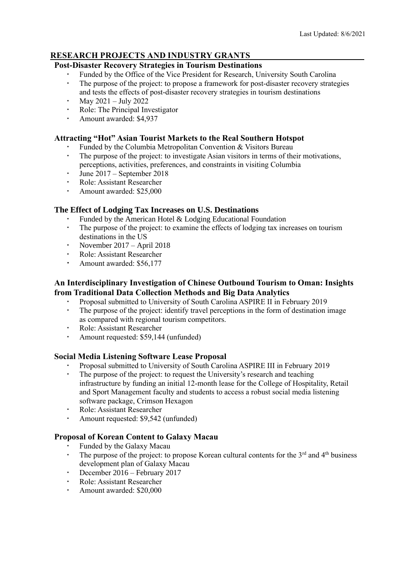# **RESEARCH PROJECTS AND INDUSTRY GRANTS**

# **Post-Disaster Recovery Strategies in Tourism Destinations**

- Funded by the Office of the Vice President for Research, University South Carolina
- The purpose of the project: to propose a framework for post-disaster recovery strategies and tests the effects of post-disaster recovery strategies in tourism destinations
- May 2021 July 2022
- Role: The Principal Investigator
- Amount awarded: \$4,937

### **Attracting "Hot" Asian Tourist Markets to the Real Southern Hotspot**

- Funded by the Columbia Metropolitan Convention & Visitors Bureau
- The purpose of the project: to investigate Asian visitors in terms of their motivations, perceptions, activities, preferences, and constraints in visiting Columbia
- June 2017 September 2018
- Role: Assistant Researcher
- Amount awarded: \$25,000

# **The Effect of Lodging Tax Increases on U.S. Destinations**

- Funded by the American Hotel & Lodging Educational Foundation
- The purpose of the project: to examine the effects of lodging tax increases on tourism destinations in the US
- November 2017 April 2018
- Role: Assistant Researcher
- Amount awarded: \$56,177

## **An Interdisciplinary Investigation of Chinese Outbound Tourism to Oman: Insights from Traditional Data Collection Methods and Big Data Analytics**

- Proposal submitted to University of South Carolina ASPIRE II in February 2019
- The purpose of the project: identify travel perceptions in the form of destination image as compared with regional tourism competitors.
- Role: Assistant Researcher
- Amount requested: \$59,144 (unfunded)

# **Social Media Listening Software Lease Proposal**

- Proposal submitted to University of South Carolina ASPIRE III in February 2019
- The purpose of the project: to request the University's research and teaching infrastructure by funding an initial 12-month lease for the College of Hospitality, Retail and Sport Management faculty and students to access a robust social media listening software package, Crimson Hexagon
- Role: Assistant Researcher
- Amount requested: \$9,542 (unfunded)

# **Proposal of Korean Content to Galaxy Macau**

- Funded by the Galaxy Macau
- The purpose of the project: to propose Korean cultural contents for the  $3<sup>rd</sup>$  and  $4<sup>th</sup>$  business development plan of Galaxy Macau
- December 2016 February 2017
- Role: Assistant Researcher
- Amount awarded: \$20,000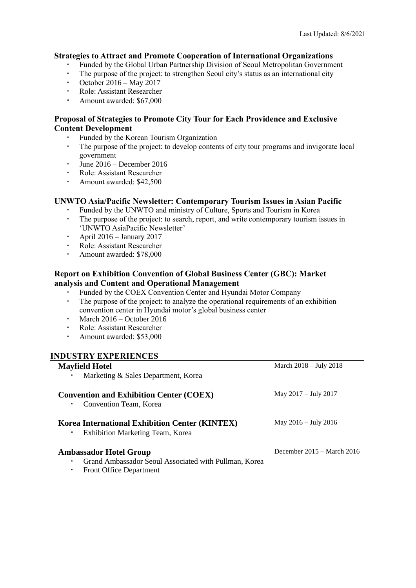# **Strategies to Attract and Promote Cooperation of International Organizations**

- Funded by the Global Urban Partnership Division of Seoul Metropolitan Government
- The purpose of the project: to strengthen Seoul city's status as an international city
- October 2016 May 2017
- Role: Assistant Researcher
- Amount awarded: \$67,000

## **Proposal of Strategies to Promote City Tour for Each Providence and Exclusive Content Development**

- Funded by the Korean Tourism Organization
- The purpose of the project: to develop contents of city tour programs and invigorate local government
- $\cdot$  June 2016 December 2016
- Role: Assistant Researcher
- Amount awarded: \$42,500

# **UNWTO Asia/Pacific Newsletter: Contemporary Tourism Issues in Asian Pacific**

- Funded by the UNWTO and ministry of Culture, Sports and Tourism in Korea
- The purpose of the project: to search, report, and write contemporary tourism issues in 'UNWTO AsiaPacific Newsletter'
- April 2016 January 2017
- Role: Assistant Researcher
- Amount awarded: \$78,000

# **Report on Exhibition Convention of Global Business Center (GBC): Market analysis and Content and Operational Management**

- Funded by the COEX Convention Center and Hyundai Motor Company
- The purpose of the project: to analyze the operational requirements of an exhibition convention center in Hyundai motor's global business center
- March 2016 October 2016
- Role: Assistant Researcher
- Amount awarded: \$53,000

#### **INDUSTRY EXPERIENCES**

| <b>Mayfield Hotel</b><br>Marketing & Sales Department, Korea                                                                  | March $2018 - \text{July } 2018$ |
|-------------------------------------------------------------------------------------------------------------------------------|----------------------------------|
| <b>Convention and Exhibition Center (COEX)</b><br>Convention Team, Korea                                                      | May 2017 – July 2017             |
| <b>Korea International Exhibition Center (KINTEX)</b><br>Exhibition Marketing Team, Korea                                     | May $2016 - \text{July } 2016$   |
| <b>Ambassador Hotel Group</b><br>Grand Ambassador Seoul Associated with Pullman, Korea<br><b>Front Office Department</b><br>٠ | December $2015 - March 2016$     |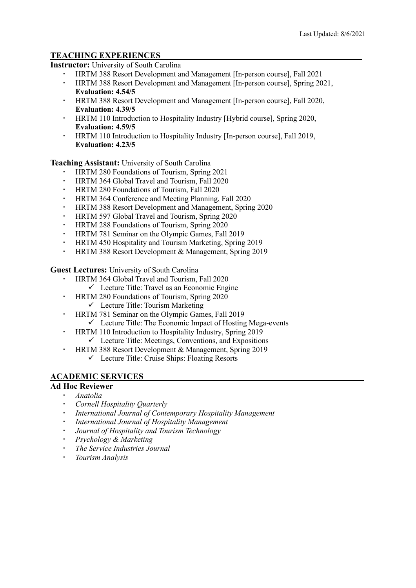# **TEACHING EXPERIENCES**

**Instructor:** University of South Carolina

- HRTM 388 Resort Development and Management [In-person course], Fall 2021
- HRTM 388 Resort Development and Management [In-person course], Spring 2021, **Evaluation: 4.54/5**
- HRTM 388 Resort Development and Management [In-person course], Fall 2020, **Evaluation: 4.39/5**
- HRTM 110 Introduction to Hospitality Industry [Hybrid course], Spring 2020, **Evaluation: 4.59/5**
- HRTM 110 Introduction to Hospitality Industry [In-person course], Fall 2019, **Evaluation: 4.23/5**

**Teaching Assistant:** University of South Carolina

- HRTM 280 Foundations of Tourism, Spring 2021
- HRTM 364 Global Travel and Tourism, Fall 2020
- **HRTM 280 Foundations of Tourism, Fall 2020**
- HRTM 364 Conference and Meeting Planning, Fall 2020
- HRTM 388 Resort Development and Management, Spring 2020
- HRTM 597 Global Travel and Tourism, Spring 2020
- HRTM 288 Foundations of Tourism, Spring 2020
- HRTM 781 Seminar on the Olympic Games, Fall 2019
- HRTM 450 Hospitality and Tourism Marketing, Spring 2019
- HRTM 388 Resort Development & Management, Spring 2019

**Guest Lectures:** University of South Carolina

- HRTM 364 Global Travel and Tourism, Fall 2020
	- $\checkmark$  Lecture Title: Travel as an Economic Engine
- HRTM 280 Foundations of Tourism, Spring 2020
	- $\checkmark$  Lecture Title: Tourism Marketing
- HRTM 781 Seminar on the Olympic Games, Fall 2019  $\checkmark$  Lecture Title: The Economic Impact of Hosting Mega-events
- HRTM 110 Introduction to Hospitality Industry, Spring 2019
	- $\checkmark$  Lecture Title: Meetings, Conventions, and Expositions
- HRTM 388 Resort Development & Management, Spring 2019
	- ✓ Lecture Title: Cruise Ships: Floating Resorts

# **ACADEMIC SERVICES**

# **Ad Hoc Reviewer**

- *Anatolia*
- *Cornell Hospitality Quarterly*
- *International Journal of Contemporary Hospitality Management*
- *International Journal of Hospitality Management*
- *Journal of Hospitality and Tourism Technology*
- *Psychology & Marketing*
- *The Service Industries Journal*
- *Tourism Analysis*